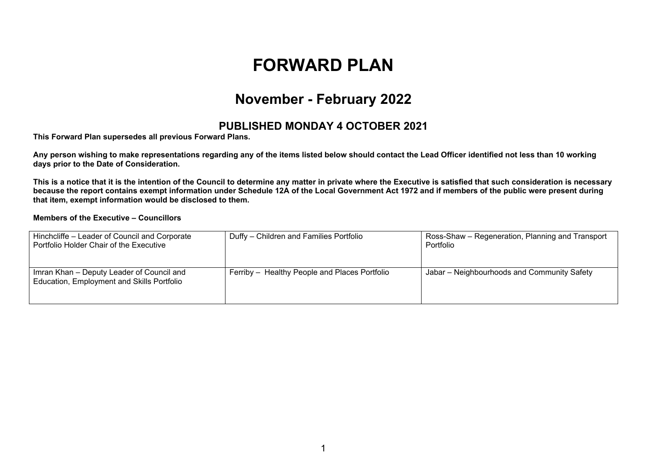# **FORWARD PLAN**

## **November - February 2022**

#### **PUBLISHED MONDAY 4 OCTOBER 2021**

**This Forward Plan supersedes all previous Forward Plans.**

Any person wishing to make representations regarding any of the items listed below should contact the Lead Officer identified not less than 10 working **days prior to the Date of Consideration.**

This is a notice that it is the intention of the Council to determine any matter in private where the Executive is satisfied that such consideration is necessary because the report contains exempt information under Schedule 12A of the Local Government Act 1972 and if members of the public were present during **that item, exempt information would be disclosed to them.**

#### **Members of the Executive – Councillors**

| Hinchcliffe - Leader of Council and Corporate<br>Portfolio Holder Chair of the Executive | Duffy – Children and Families Portfolio       | Ross-Shaw – Regeneration, Planning and Transport<br>Portfolio |
|------------------------------------------------------------------------------------------|-----------------------------------------------|---------------------------------------------------------------|
| Imran Khan - Deputy Leader of Council and<br>Education, Employment and Skills Portfolio  | Ferriby - Healthy People and Places Portfolio | Jabar - Neighbourhoods and Community Safety                   |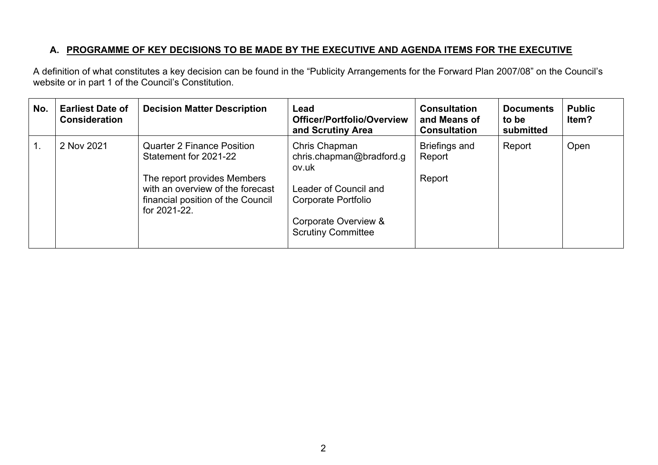### **A. PROGRAMME OF KEY DECISIONS TO BE MADE BY THE EXECUTIVE AND AGENDA ITEMS FOR THE EXECUTIVE**

A definition of what constitutes a key decision can be found in the "Publicity Arrangements for the Forward Plan 2007/08" on the Council's website or in part 1 of the Council's Constitution.

| No.           | <b>Earliest Date of</b><br><b>Consideration</b> | <b>Decision Matter Description</b>                                                                                                                                                 | Lead<br><b>Officer/Portfolio/Overview</b><br>and Scrutiny Area                                                                                          | <b>Consultation</b><br>and Means of<br><b>Consultation</b> | <b>Documents</b><br>to be<br>submitted | <b>Public</b><br>Item? |
|---------------|-------------------------------------------------|------------------------------------------------------------------------------------------------------------------------------------------------------------------------------------|---------------------------------------------------------------------------------------------------------------------------------------------------------|------------------------------------------------------------|----------------------------------------|------------------------|
| $\mathbf 1$ . | 2 Nov 2021                                      | <b>Quarter 2 Finance Position</b><br>Statement for 2021-22<br>The report provides Members<br>with an overview of the forecast<br>financial position of the Council<br>for 2021-22. | Chris Chapman<br>chris.chapman@bradford.g<br>ov.uk<br>Leader of Council and<br>Corporate Portfolio<br>Corporate Overview &<br><b>Scrutiny Committee</b> | <b>Briefings and</b><br>Report<br>Report                   | Report                                 | Open                   |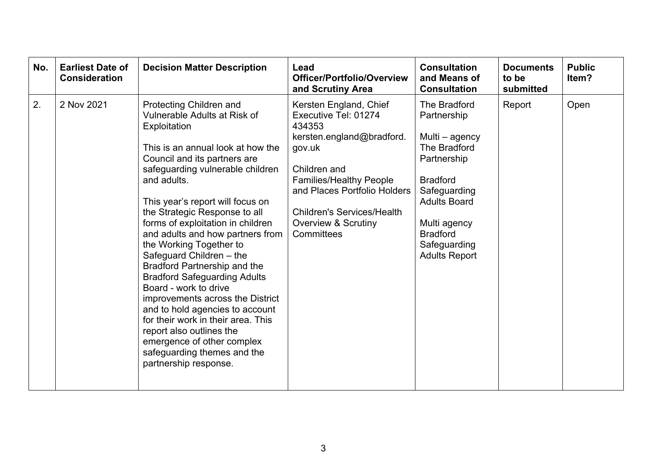| No. | <b>Earliest Date of</b><br><b>Consideration</b> | <b>Decision Matter Description</b>                                                                                                                                                                                                                                                                                                                                                                                                                                                                                                                                                                                                                                                                                                  | Lead<br>Officer/Portfolio/Overview<br>and Scrutiny Area                                                                                                                                                                                                                | <b>Consultation</b><br>and Means of<br><b>Consultation</b>                                                                                                                                                        | <b>Documents</b><br>to be<br>submitted | <b>Public</b><br>Item? |
|-----|-------------------------------------------------|-------------------------------------------------------------------------------------------------------------------------------------------------------------------------------------------------------------------------------------------------------------------------------------------------------------------------------------------------------------------------------------------------------------------------------------------------------------------------------------------------------------------------------------------------------------------------------------------------------------------------------------------------------------------------------------------------------------------------------------|------------------------------------------------------------------------------------------------------------------------------------------------------------------------------------------------------------------------------------------------------------------------|-------------------------------------------------------------------------------------------------------------------------------------------------------------------------------------------------------------------|----------------------------------------|------------------------|
| 2.  | 2 Nov 2021                                      | Protecting Children and<br>Vulnerable Adults at Risk of<br>Exploitation<br>This is an annual look at how the<br>Council and its partners are<br>safeguarding vulnerable children<br>and adults.<br>This year's report will focus on<br>the Strategic Response to all<br>forms of exploitation in children<br>and adults and how partners from<br>the Working Together to<br>Safeguard Children - the<br>Bradford Partnership and the<br><b>Bradford Safeguarding Adults</b><br>Board - work to drive<br>improvements across the District<br>and to hold agencies to account<br>for their work in their area. This<br>report also outlines the<br>emergence of other complex<br>safeguarding themes and the<br>partnership response. | Kersten England, Chief<br>Executive Tel: 01274<br>434353<br>kersten.england@bradford.<br>gov.uk<br>Children and<br><b>Families/Healthy People</b><br>and Places Portfolio Holders<br><b>Children's Services/Health</b><br><b>Overview &amp; Scrutiny</b><br>Committees | The Bradford<br>Partnership<br>Multi – agency<br>The Bradford<br>Partnership<br><b>Bradford</b><br>Safeguarding<br><b>Adults Board</b><br>Multi agency<br><b>Bradford</b><br>Safeguarding<br><b>Adults Report</b> | Report                                 | Open                   |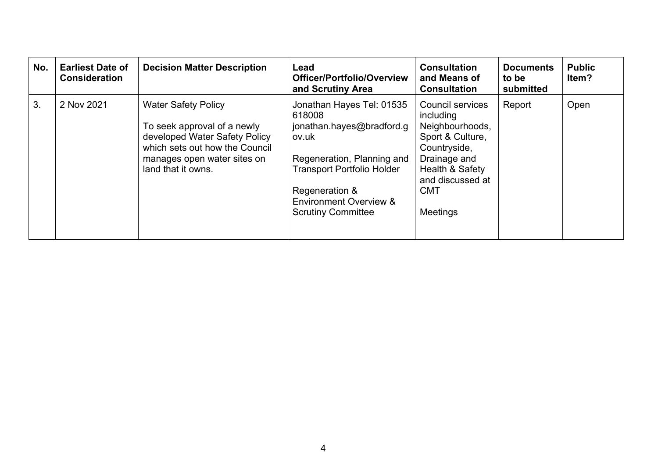| No. | <b>Earliest Date of</b><br><b>Consideration</b> | <b>Decision Matter Description</b>                                                                                                                                                | Lead<br>Officer/Portfolio/Overview<br>and Scrutiny Area                                                                                                                                                                          | <b>Consultation</b><br>and Means of<br><b>Consultation</b>                                                                                                                   | <b>Documents</b><br>to be<br>submitted | <b>Public</b><br>ltem? |
|-----|-------------------------------------------------|-----------------------------------------------------------------------------------------------------------------------------------------------------------------------------------|----------------------------------------------------------------------------------------------------------------------------------------------------------------------------------------------------------------------------------|------------------------------------------------------------------------------------------------------------------------------------------------------------------------------|----------------------------------------|------------------------|
| 3.  | 2 Nov 2021                                      | <b>Water Safety Policy</b><br>To seek approval of a newly<br>developed Water Safety Policy<br>which sets out how the Council<br>manages open water sites on<br>land that it owns. | Jonathan Hayes Tel: 01535<br>618008<br>jonathan.hayes@bradford.g<br>ov.uk<br>Regeneration, Planning and<br><b>Transport Portfolio Holder</b><br>Regeneration &<br><b>Environment Overview &amp;</b><br><b>Scrutiny Committee</b> | <b>Council services</b><br>including<br>Neighbourhoods,<br>Sport & Culture,<br>Countryside,<br>Drainage and<br>Health & Safety<br>and discussed at<br><b>CMT</b><br>Meetings | Report                                 | Open                   |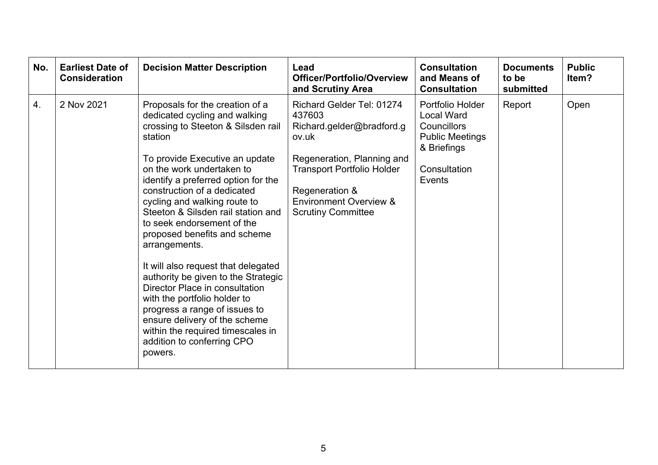| No.              | <b>Earliest Date of</b><br><b>Consideration</b> | <b>Decision Matter Description</b>                                                                                                                                                                                                                                                                                                                                                                                                                                                                                                                                                                                                                                                                          | Lead<br><b>Officer/Portfolio/Overview</b><br>and Scrutiny Area                                                                                                                                                                   | <b>Consultation</b><br>and Means of<br><b>Consultation</b>                                                              | <b>Documents</b><br>to be<br>submitted | <b>Public</b><br>ltem? |
|------------------|-------------------------------------------------|-------------------------------------------------------------------------------------------------------------------------------------------------------------------------------------------------------------------------------------------------------------------------------------------------------------------------------------------------------------------------------------------------------------------------------------------------------------------------------------------------------------------------------------------------------------------------------------------------------------------------------------------------------------------------------------------------------------|----------------------------------------------------------------------------------------------------------------------------------------------------------------------------------------------------------------------------------|-------------------------------------------------------------------------------------------------------------------------|----------------------------------------|------------------------|
| $\overline{4}$ . | 2 Nov 2021                                      | Proposals for the creation of a<br>dedicated cycling and walking<br>crossing to Steeton & Silsden rail<br>station<br>To provide Executive an update<br>on the work undertaken to<br>identify a preferred option for the<br>construction of a dedicated<br>cycling and walking route to<br>Steeton & Silsden rail station and<br>to seek endorsement of the<br>proposed benefits and scheme<br>arrangements.<br>It will also request that delegated<br>authority be given to the Strategic<br>Director Place in consultation<br>with the portfolio holder to<br>progress a range of issues to<br>ensure delivery of the scheme<br>within the required timescales in<br>addition to conferring CPO<br>powers. | Richard Gelder Tel: 01274<br>437603<br>Richard.gelder@bradford.g<br>ov.uk<br>Regeneration, Planning and<br><b>Transport Portfolio Holder</b><br>Regeneration &<br><b>Environment Overview &amp;</b><br><b>Scrutiny Committee</b> | Portfolio Holder<br><b>Local Ward</b><br>Councillors<br><b>Public Meetings</b><br>& Briefings<br>Consultation<br>Events | Report                                 | Open                   |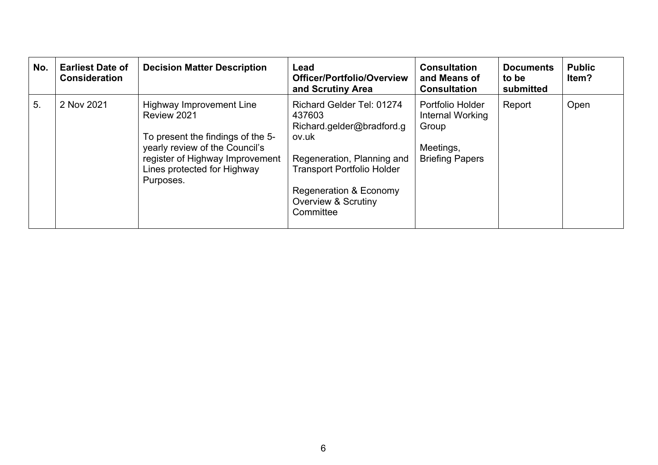| No. | <b>Earliest Date of</b><br><b>Consideration</b> | <b>Decision Matter Description</b>                                                                                                                                                                   | Lead<br>Officer/Portfolio/Overview<br>and Scrutiny Area                                                                                                                                                                      | <b>Consultation</b><br>and Means of<br><b>Consultation</b>                           | <b>Documents</b><br>to be<br>submitted | <b>Public</b><br>ltem? |
|-----|-------------------------------------------------|------------------------------------------------------------------------------------------------------------------------------------------------------------------------------------------------------|------------------------------------------------------------------------------------------------------------------------------------------------------------------------------------------------------------------------------|--------------------------------------------------------------------------------------|----------------------------------------|------------------------|
| 5.  | 2 Nov 2021                                      | <b>Highway Improvement Line</b><br>Review 2021<br>To present the findings of the 5-<br>yearly review of the Council's<br>register of Highway Improvement<br>Lines protected for Highway<br>Purposes. | <b>Richard Gelder Tel: 01274</b><br>437603<br>Richard.gelder@bradford.g<br>ov.uk<br>Regeneration, Planning and<br><b>Transport Portfolio Holder</b><br>Regeneration & Economy<br><b>Overview &amp; Scrutiny</b><br>Committee | Portfolio Holder<br>Internal Working<br>Group<br>Meetings,<br><b>Briefing Papers</b> | Report                                 | Open                   |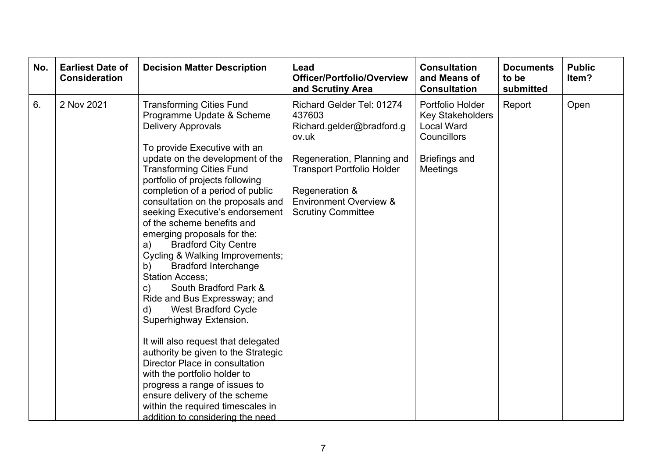| No. | <b>Earliest Date of</b><br><b>Consideration</b> | <b>Decision Matter Description</b>                                                                                                                                                                                                                                                                                                                                                                                                                                                                                                                                                                                                                                                                                                                                                                                                                                                                                                                                           | Lead<br>Officer/Portfolio/Overview<br>and Scrutiny Area                                                                                                                                                                          | <b>Consultation</b><br>and Means of<br><b>Consultation</b>                                                          | <b>Documents</b><br>to be<br>submitted | <b>Public</b><br>Item? |
|-----|-------------------------------------------------|------------------------------------------------------------------------------------------------------------------------------------------------------------------------------------------------------------------------------------------------------------------------------------------------------------------------------------------------------------------------------------------------------------------------------------------------------------------------------------------------------------------------------------------------------------------------------------------------------------------------------------------------------------------------------------------------------------------------------------------------------------------------------------------------------------------------------------------------------------------------------------------------------------------------------------------------------------------------------|----------------------------------------------------------------------------------------------------------------------------------------------------------------------------------------------------------------------------------|---------------------------------------------------------------------------------------------------------------------|----------------------------------------|------------------------|
| 6.  | 2 Nov 2021                                      | <b>Transforming Cities Fund</b><br>Programme Update & Scheme<br><b>Delivery Approvals</b><br>To provide Executive with an<br>update on the development of the<br><b>Transforming Cities Fund</b><br>portfolio of projects following<br>completion of a period of public<br>consultation on the proposals and<br>seeking Executive's endorsement<br>of the scheme benefits and<br>emerging proposals for the:<br><b>Bradford City Centre</b><br>a)<br>Cycling & Walking Improvements;<br><b>Bradford Interchange</b><br>b)<br><b>Station Access:</b><br>South Bradford Park &<br>c)<br>Ride and Bus Expressway; and<br><b>West Bradford Cycle</b><br>d)<br>Superhighway Extension.<br>It will also request that delegated<br>authority be given to the Strategic<br>Director Place in consultation<br>with the portfolio holder to<br>progress a range of issues to<br>ensure delivery of the scheme<br>within the required timescales in<br>addition to considering the need | Richard Gelder Tel: 01274<br>437603<br>Richard.gelder@bradford.g<br>ov.uk<br>Regeneration, Planning and<br><b>Transport Portfolio Holder</b><br>Regeneration &<br><b>Environment Overview &amp;</b><br><b>Scrutiny Committee</b> | Portfolio Holder<br><b>Key Stakeholders</b><br><b>Local Ward</b><br>Councillors<br><b>Briefings and</b><br>Meetings | Report                                 | Open                   |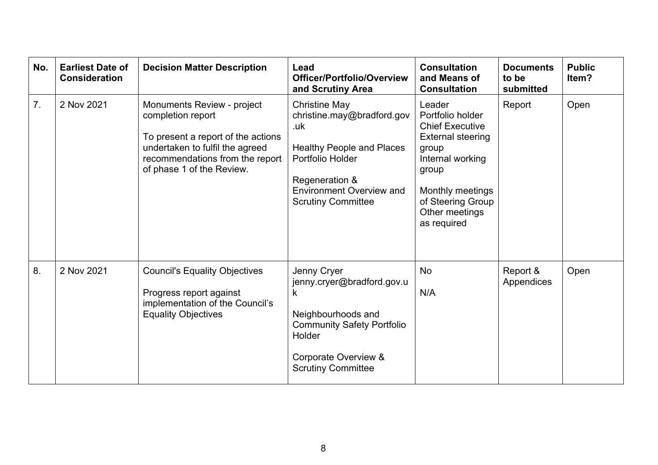| No.            | <b>Earliest Date of</b><br><b>Consideration</b> | <b>Decision Matter Description</b>                                                                                                                                                       | Lead<br><b>Officer/Portfolio/Overview</b><br>and Scrutiny Area                                                                                                                                      | <b>Consultation</b><br>and Means of<br><b>Consultation</b>                                                                                                                                              | <b>Documents</b><br>to be<br>submitted | <b>Public</b><br>ltem? |
|----------------|-------------------------------------------------|------------------------------------------------------------------------------------------------------------------------------------------------------------------------------------------|-----------------------------------------------------------------------------------------------------------------------------------------------------------------------------------------------------|---------------------------------------------------------------------------------------------------------------------------------------------------------------------------------------------------------|----------------------------------------|------------------------|
| 7 <sub>1</sub> | 2 Nov 2021                                      | Monuments Review - project<br>completion report<br>To present a report of the actions<br>undertaken to fulfil the agreed<br>recommendations from the report<br>of phase 1 of the Review. | <b>Christine May</b><br>christine.may@bradford.gov<br>.uk<br><b>Healthy People and Places</b><br>Portfolio Holder<br>Regeneration &<br><b>Environment Overview and</b><br><b>Scrutiny Committee</b> | Leader<br>Portfolio holder<br><b>Chief Executive</b><br><b>External steering</b><br>group<br>Internal working<br>group<br><b>Monthly meetings</b><br>of Steering Group<br>Other meetings<br>as required | Report                                 | Open                   |
| 8.             | 2 Nov 2021                                      | <b>Council's Equality Objectives</b><br>Progress report against<br>implementation of the Council's<br><b>Equality Objectives</b>                                                         | Jenny Cryer<br>jenny.cryer@bradford.gov.u<br>k<br>Neighbourhoods and<br><b>Community Safety Portfolio</b><br>Holder<br>Corporate Overview &<br><b>Scrutiny Committee</b>                            | No<br>N/A                                                                                                                                                                                               | Report &<br>Appendices                 | Open                   |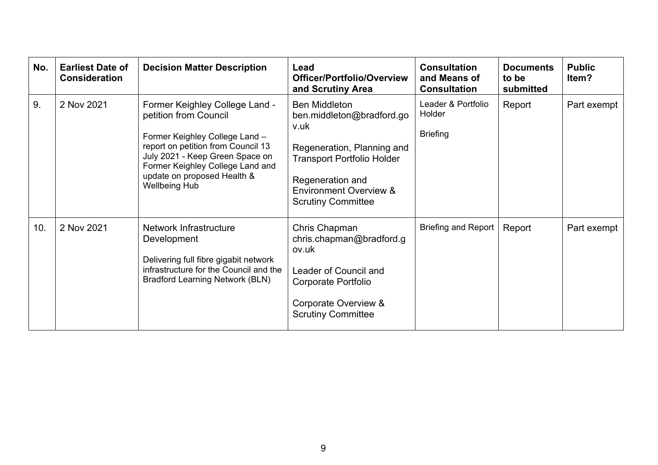| No. | <b>Earliest Date of</b><br><b>Consideration</b> | <b>Decision Matter Description</b>                                                                                                                                                                                                                            | Lead<br><b>Officer/Portfolio/Overview</b><br>and Scrutiny Area                                                                                                                                                     | <b>Consultation</b><br>and Means of<br><b>Consultation</b> | <b>Documents</b><br>to be<br>submitted | <b>Public</b><br>ltem? |
|-----|-------------------------------------------------|---------------------------------------------------------------------------------------------------------------------------------------------------------------------------------------------------------------------------------------------------------------|--------------------------------------------------------------------------------------------------------------------------------------------------------------------------------------------------------------------|------------------------------------------------------------|----------------------------------------|------------------------|
| 9.  | 2 Nov 2021                                      | Former Keighley College Land -<br>petition from Council<br>Former Keighley College Land -<br>report on petition from Council 13<br>July 2021 - Keep Green Space on<br>Former Keighley College Land and<br>update on proposed Health &<br><b>Wellbeing Hub</b> | <b>Ben Middleton</b><br>ben.middleton@bradford.go<br>v.uk<br>Regeneration, Planning and<br><b>Transport Portfolio Holder</b><br>Regeneration and<br><b>Environment Overview &amp;</b><br><b>Scrutiny Committee</b> | Leader & Portfolio<br>Holder<br><b>Briefing</b>            | Report                                 | Part exempt            |
| 10. | 2 Nov 2021                                      | Network Infrastructure<br>Development<br>Delivering full fibre gigabit network<br>infrastructure for the Council and the<br><b>Bradford Learning Network (BLN)</b>                                                                                            | Chris Chapman<br>chris.chapman@bradford.g<br>ov.uk<br>Leader of Council and<br>Corporate Portfolio<br>Corporate Overview &<br><b>Scrutiny Committee</b>                                                            | <b>Briefing and Report</b>                                 | Report                                 | Part exempt            |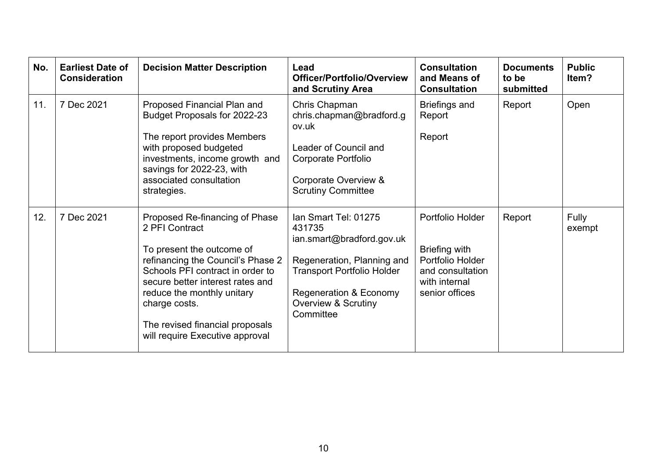| No. | <b>Earliest Date of</b><br><b>Consideration</b> | <b>Decision Matter Description</b>                                                                                                                                                                                                                                                                              | Lead<br><b>Officer/Portfolio/Overview</b><br>and Scrutiny Area                                                                                                                                                     | <b>Consultation</b><br>and Means of<br><b>Consultation</b>                                                          | <b>Documents</b><br>to be<br>submitted | <b>Public</b><br>ltem? |
|-----|-------------------------------------------------|-----------------------------------------------------------------------------------------------------------------------------------------------------------------------------------------------------------------------------------------------------------------------------------------------------------------|--------------------------------------------------------------------------------------------------------------------------------------------------------------------------------------------------------------------|---------------------------------------------------------------------------------------------------------------------|----------------------------------------|------------------------|
| 11. | 7 Dec 2021                                      | Proposed Financial Plan and<br>Budget Proposals for 2022-23<br>The report provides Members<br>with proposed budgeted<br>investments, income growth and<br>savings for 2022-23, with<br>associated consultation<br>strategies.                                                                                   | Chris Chapman<br>chris.chapman@bradford.g<br>ov.uk<br>Leader of Council and<br>Corporate Portfolio<br>Corporate Overview &<br><b>Scrutiny Committee</b>                                                            | <b>Briefings and</b><br>Report<br>Report                                                                            | Report                                 | Open                   |
| 12. | 7 Dec 2021                                      | Proposed Re-financing of Phase<br>2 PFI Contract<br>To present the outcome of<br>refinancing the Council's Phase 2<br>Schools PFI contract in order to<br>secure better interest rates and<br>reduce the monthly unitary<br>charge costs.<br>The revised financial proposals<br>will require Executive approval | Ian Smart Tel: 01275<br>431735<br>ian.smart@bradford.gov.uk<br>Regeneration, Planning and<br><b>Transport Portfolio Holder</b><br><b>Regeneration &amp; Economy</b><br><b>Overview &amp; Scrutiny</b><br>Committee | Portfolio Holder<br><b>Briefing with</b><br>Portfolio Holder<br>and consultation<br>with internal<br>senior offices | Report                                 | Fully<br>exempt        |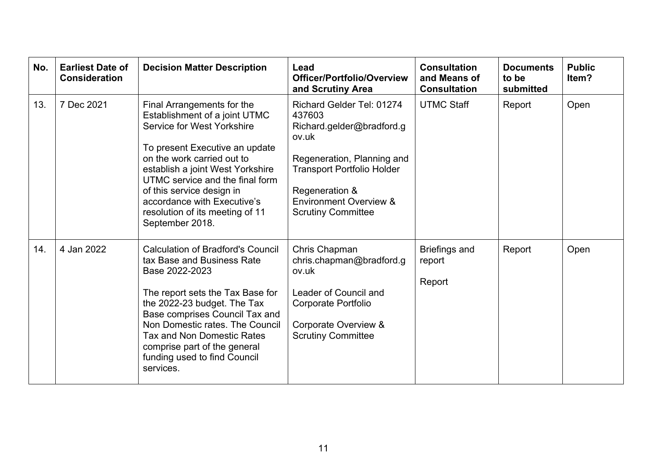| No. | <b>Earliest Date of</b><br><b>Consideration</b> | <b>Decision Matter Description</b>                                                                                                                                                                                                                                                                                                                 | Lead<br><b>Officer/Portfolio/Overview</b><br>and Scrutiny Area                                                                                                                                                                          | <b>Consultation</b><br>and Means of<br><b>Consultation</b> | <b>Documents</b><br>to be<br>submitted | <b>Public</b><br>Item? |
|-----|-------------------------------------------------|----------------------------------------------------------------------------------------------------------------------------------------------------------------------------------------------------------------------------------------------------------------------------------------------------------------------------------------------------|-----------------------------------------------------------------------------------------------------------------------------------------------------------------------------------------------------------------------------------------|------------------------------------------------------------|----------------------------------------|------------------------|
| 13. | 7 Dec 2021                                      | Final Arrangements for the<br>Establishment of a joint UTMC<br>Service for West Yorkshire<br>To present Executive an update<br>on the work carried out to<br>establish a joint West Yorkshire<br>UTMC service and the final form<br>of this service design in<br>accordance with Executive's<br>resolution of its meeting of 11<br>September 2018. | <b>Richard Gelder Tel: 01274</b><br>437603<br>Richard.gelder@bradford.g<br>ov.uk<br>Regeneration, Planning and<br><b>Transport Portfolio Holder</b><br>Regeneration &<br><b>Environment Overview &amp;</b><br><b>Scrutiny Committee</b> | <b>UTMC Staff</b>                                          | Report                                 | Open                   |
| 14. | 4 Jan 2022                                      | <b>Calculation of Bradford's Council</b><br>tax Base and Business Rate<br>Base 2022-2023<br>The report sets the Tax Base for<br>the 2022-23 budget. The Tax<br>Base comprises Council Tax and<br>Non Domestic rates. The Council<br><b>Tax and Non Domestic Rates</b><br>comprise part of the general<br>funding used to find Council<br>services. | Chris Chapman<br>chris.chapman@bradford.g<br>ov.uk<br>Leader of Council and<br><b>Corporate Portfolio</b><br>Corporate Overview &<br><b>Scrutiny Committee</b>                                                                          | <b>Briefings and</b><br>report<br>Report                   | Report                                 | Open                   |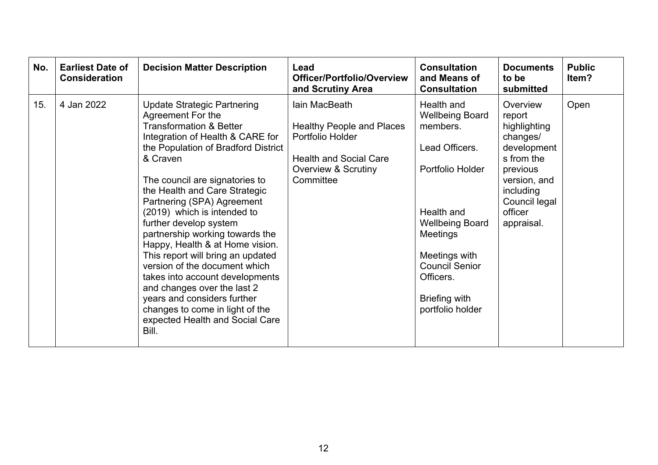| No. | <b>Earliest Date of</b><br><b>Consideration</b> | <b>Decision Matter Description</b>                                                                                                                                                                                                                                                                                                                                                                                                                                                                                                                                                                                                                                         | Lead<br><b>Officer/Portfolio/Overview</b><br>and Scrutiny Area                                                                                        | <b>Consultation</b><br>and Means of<br><b>Consultation</b>                                                                                                                                                                                    | <b>Documents</b><br>to be<br>submitted                                                                                                                         | <b>Public</b><br>ltem? |
|-----|-------------------------------------------------|----------------------------------------------------------------------------------------------------------------------------------------------------------------------------------------------------------------------------------------------------------------------------------------------------------------------------------------------------------------------------------------------------------------------------------------------------------------------------------------------------------------------------------------------------------------------------------------------------------------------------------------------------------------------------|-------------------------------------------------------------------------------------------------------------------------------------------------------|-----------------------------------------------------------------------------------------------------------------------------------------------------------------------------------------------------------------------------------------------|----------------------------------------------------------------------------------------------------------------------------------------------------------------|------------------------|
| 15. | 4 Jan 2022                                      | <b>Update Strategic Partnering</b><br>Agreement For the<br><b>Transformation &amp; Better</b><br>Integration of Health & CARE for<br>the Population of Bradford District<br>& Craven<br>The council are signatories to<br>the Health and Care Strategic<br>Partnering (SPA) Agreement<br>(2019) which is intended to<br>further develop system<br>partnership working towards the<br>Happy, Health & at Home vision.<br>This report will bring an updated<br>version of the document which<br>takes into account developments<br>and changes over the last 2<br>years and considers further<br>changes to come in light of the<br>expected Health and Social Care<br>Bill. | lain MacBeath<br><b>Healthy People and Places</b><br>Portfolio Holder<br><b>Health and Social Care</b><br><b>Overview &amp; Scrutiny</b><br>Committee | Health and<br><b>Wellbeing Board</b><br>members.<br>Lead Officers.<br>Portfolio Holder<br>Health and<br><b>Wellbeing Board</b><br><b>Meetings</b><br>Meetings with<br><b>Council Senior</b><br>Officers.<br>Briefing with<br>portfolio holder | Overview<br>report<br>highlighting<br>changes/<br>development<br>s from the<br>previous<br>version, and<br>including<br>Council legal<br>officer<br>appraisal. | Open                   |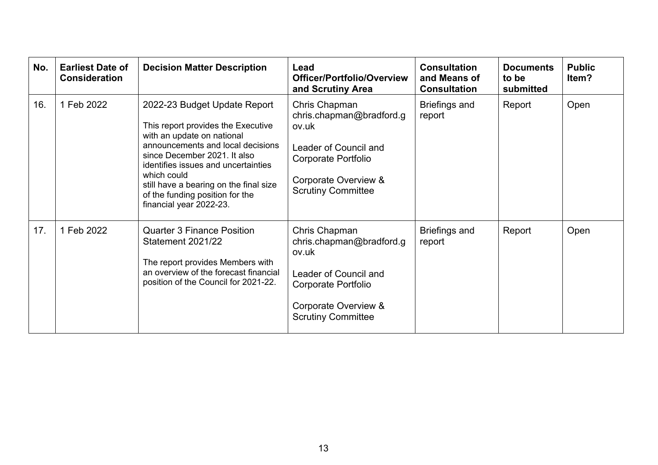| No. | <b>Earliest Date of</b><br><b>Consideration</b> | <b>Decision Matter Description</b>                                                                                                                                                                                                                                                                                                  | Lead<br><b>Officer/Portfolio/Overview</b><br>and Scrutiny Area                                                                                          | <b>Consultation</b><br>and Means of<br><b>Consultation</b> | <b>Documents</b><br>to be<br>submitted | <b>Public</b><br>ltem? |
|-----|-------------------------------------------------|-------------------------------------------------------------------------------------------------------------------------------------------------------------------------------------------------------------------------------------------------------------------------------------------------------------------------------------|---------------------------------------------------------------------------------------------------------------------------------------------------------|------------------------------------------------------------|----------------------------------------|------------------------|
| 16. | 1 Feb 2022                                      | 2022-23 Budget Update Report<br>This report provides the Executive<br>with an update on national<br>announcements and local decisions<br>since December 2021. It also<br>identifies issues and uncertainties<br>which could<br>still have a bearing on the final size<br>of the funding position for the<br>financial year 2022-23. | Chris Chapman<br>chris.chapman@bradford.g<br>ov.uk<br>Leader of Council and<br>Corporate Portfolio<br>Corporate Overview &<br><b>Scrutiny Committee</b> | <b>Briefings and</b><br>report                             | Report                                 | Open                   |
| 17. | 1 Feb 2022                                      | <b>Quarter 3 Finance Position</b><br>Statement 2021/22<br>The report provides Members with<br>an overview of the forecast financial<br>position of the Council for 2021-22.                                                                                                                                                         | Chris Chapman<br>chris.chapman@bradford.g<br>ov.uk<br>Leader of Council and<br>Corporate Portfolio<br>Corporate Overview &<br><b>Scrutiny Committee</b> | <b>Briefings and</b><br>report                             | Report                                 | Open                   |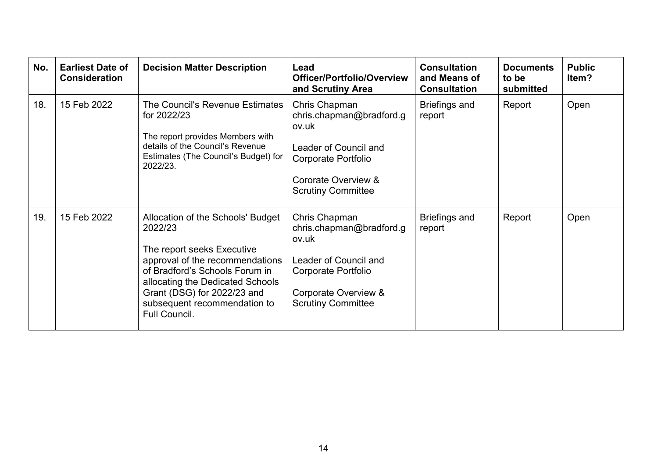| No. | <b>Earliest Date of</b><br><b>Consideration</b> | <b>Decision Matter Description</b>                                                                                                                                                                                                                                  | Lead<br><b>Officer/Portfolio/Overview</b><br>and Scrutiny Area                                                                                          | <b>Consultation</b><br>and Means of<br><b>Consultation</b> | <b>Documents</b><br>to be<br>submitted | <b>Public</b><br>Item? |
|-----|-------------------------------------------------|---------------------------------------------------------------------------------------------------------------------------------------------------------------------------------------------------------------------------------------------------------------------|---------------------------------------------------------------------------------------------------------------------------------------------------------|------------------------------------------------------------|----------------------------------------|------------------------|
| 18. | 15 Feb 2022                                     | The Council's Revenue Estimates<br>for 2022/23<br>The report provides Members with<br>details of the Council's Revenue<br>Estimates (The Council's Budget) for<br>2022/23.                                                                                          | Chris Chapman<br>chris.chapman@bradford.g<br>ov.uk<br>Leader of Council and<br>Corporate Portfolio<br>Cororate Overview &<br><b>Scrutiny Committee</b>  | <b>Briefings and</b><br>report                             | Report                                 | Open                   |
| 19. | 15 Feb 2022                                     | Allocation of the Schools' Budget<br>2022/23<br>The report seeks Executive<br>approval of the recommendations<br>of Bradford's Schools Forum in<br>allocating the Dedicated Schools<br>Grant (DSG) for 2022/23 and<br>subsequent recommendation to<br>Full Council. | Chris Chapman<br>chris.chapman@bradford.g<br>ov.uk<br>Leader of Council and<br>Corporate Portfolio<br>Corporate Overview &<br><b>Scrutiny Committee</b> | <b>Briefings and</b><br>report                             | Report                                 | Open                   |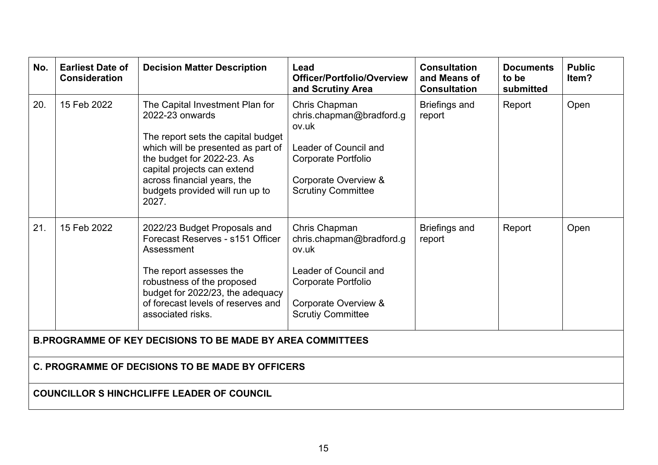| No.                                                               | <b>Earliest Date of</b><br><b>Consideration</b> | <b>Decision Matter Description</b>                                                                                                                                                                                                                                     | Lead<br>Officer/Portfolio/Overview<br>and Scrutiny Area                                                                                                        | <b>Consultation</b><br>and Means of<br><b>Consultation</b> | <b>Documents</b><br>to be<br>submitted | <b>Public</b><br>ltem? |
|-------------------------------------------------------------------|-------------------------------------------------|------------------------------------------------------------------------------------------------------------------------------------------------------------------------------------------------------------------------------------------------------------------------|----------------------------------------------------------------------------------------------------------------------------------------------------------------|------------------------------------------------------------|----------------------------------------|------------------------|
| 20.                                                               | 15 Feb 2022                                     | The Capital Investment Plan for<br>2022-23 onwards<br>The report sets the capital budget<br>which will be presented as part of<br>the budget for 2022-23. As<br>capital projects can extend<br>across financial years, the<br>budgets provided will run up to<br>2027. | Chris Chapman<br>chris.chapman@bradford.g<br>ov.uk<br>Leader of Council and<br><b>Corporate Portfolio</b><br>Corporate Overview &<br><b>Scrutiny Committee</b> | <b>Briefings and</b><br>report                             | Report                                 | Open                   |
| 21.                                                               | 15 Feb 2022                                     | 2022/23 Budget Proposals and<br>Forecast Reserves - s151 Officer<br>Assessment<br>The report assesses the<br>robustness of the proposed<br>budget for 2022/23, the adequacy<br>of forecast levels of reserves and<br>associated risks.                                 | Chris Chapman<br>chris.chapman@bradford.g<br>ov.uk<br>Leader of Council and<br><b>Corporate Portfolio</b><br>Corporate Overview &<br><b>Scrutiy Committee</b>  | <b>Briefings and</b><br>report                             | Report                                 | Open                   |
| <b>B.PROGRAMME OF KEY DECISIONS TO BE MADE BY AREA COMMITTEES</b> |                                                 |                                                                                                                                                                                                                                                                        |                                                                                                                                                                |                                                            |                                        |                        |
| C. PROGRAMME OF DECISIONS TO BE MADE BY OFFICERS                  |                                                 |                                                                                                                                                                                                                                                                        |                                                                                                                                                                |                                                            |                                        |                        |
| <b>COUNCILLOR S HINCHCLIFFE LEADER OF COUNCIL</b>                 |                                                 |                                                                                                                                                                                                                                                                        |                                                                                                                                                                |                                                            |                                        |                        |